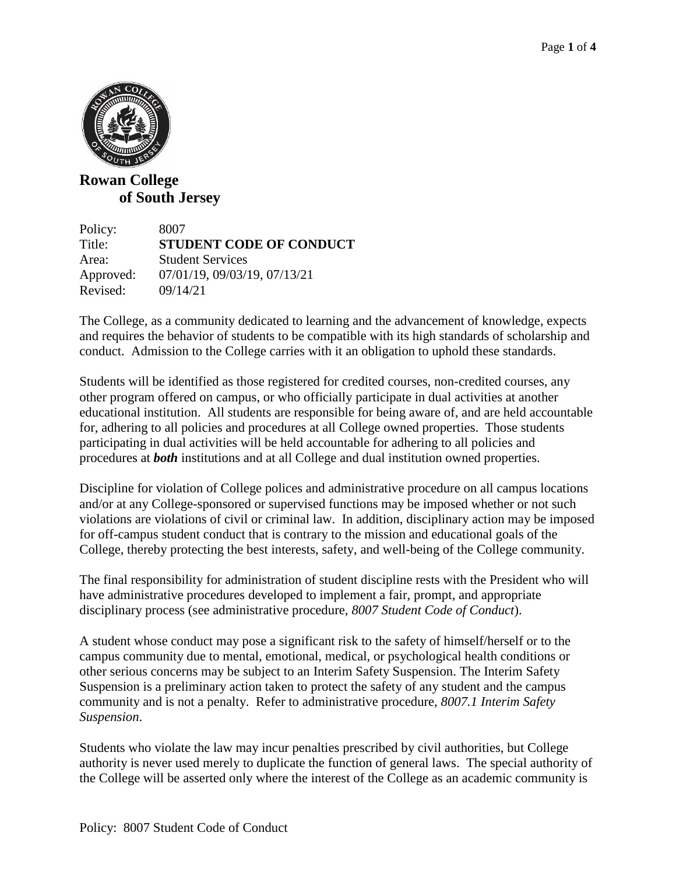

## **Rowan College of South Jersey**

Policy: 8007 Title: **STUDENT CODE OF CONDUCT**  Area: Student Services Approved: 07/01/19, 09/03/19, 07/13/21 Revised: 09/14/21

The College, as a community dedicated to learning and the advancement of knowledge, expects and requires the behavior of students to be compatible with its high standards of scholarship and conduct. Admission to the College carries with it an obligation to uphold these standards.

Students will be identified as those registered for credited courses, non-credited courses, any other program offered on campus, or who officially participate in dual activities at another educational institution. All students are responsible for being aware of, and are held accountable for, adhering to all policies and procedures at all College owned properties. Those students participating in dual activities will be held accountable for adhering to all policies and procedures at *both* institutions and at all College and dual institution owned properties.

Discipline for violation of College polices and administrative procedure on all campus locations and/or at any College-sponsored or supervised functions may be imposed whether or not such violations are violations of civil or criminal law. In addition, disciplinary action may be imposed for off-campus student conduct that is contrary to the mission and educational goals of the College, thereby protecting the best interests, safety, and well-being of the College community.

The final responsibility for administration of student discipline rests with the President who will have administrative procedures developed to implement a fair, prompt, and appropriate disciplinary process (see administrative procedure, *8007 Student Code of Conduct*).

A student whose conduct may pose a significant risk to the safety of himself/herself or to the campus community due to mental, emotional, medical, or psychological health conditions or other serious concerns may be subject to an Interim Safety Suspension. The Interim Safety Suspension is a preliminary action taken to protect the safety of any student and the campus community and is not a penalty. Refer to administrative procedure, *8007.1 Interim Safety Suspension*.

Students who violate the law may incur penalties prescribed by civil authorities, but College authority is never used merely to duplicate the function of general laws. The special authority of the College will be asserted only where the interest of the College as an academic community is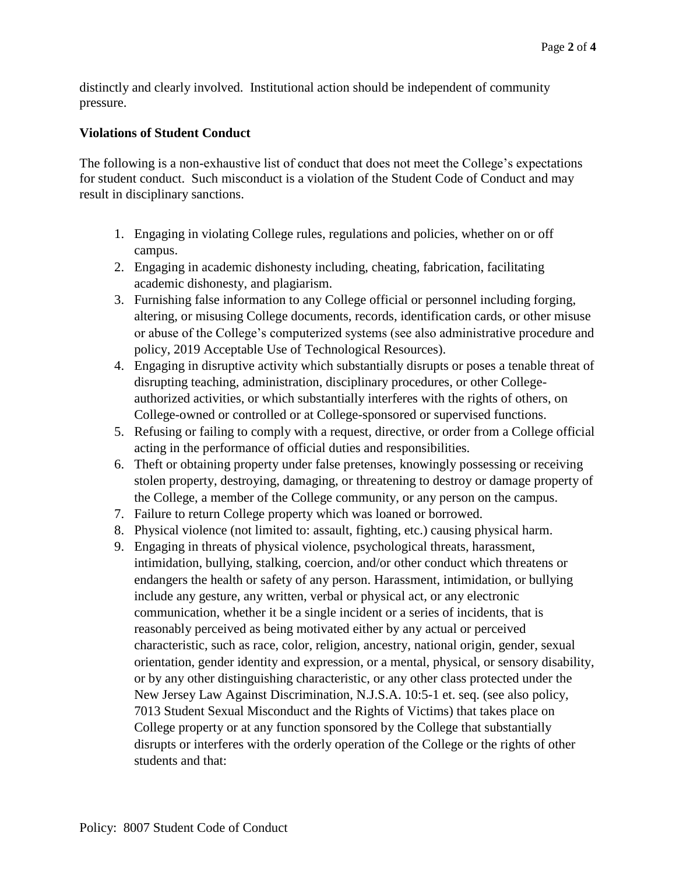distinctly and clearly involved. Institutional action should be independent of community pressure.

## **Violations of Student Conduct**

The following is a non-exhaustive list of conduct that does not meet the College's expectations for student conduct. Such misconduct is a violation of the Student Code of Conduct and may result in disciplinary sanctions.

- 1. Engaging in violating College rules, regulations and policies, whether on or off campus.
- 2. Engaging in academic dishonesty including, cheating, fabrication, facilitating academic dishonesty, and plagiarism.
- 3. Furnishing false information to any College official or personnel including forging, altering, or misusing College documents, records, identification cards, or other misuse or abuse of the College's computerized systems (see also administrative procedure and policy, 2019 Acceptable Use of Technological Resources).
- 4. Engaging in disruptive activity which substantially disrupts or poses a tenable threat of disrupting teaching, administration, disciplinary procedures, or other Collegeauthorized activities, or which substantially interferes with the rights of others, on College-owned or controlled or at College-sponsored or supervised functions.
- 5. Refusing or failing to comply with a request, directive, or order from a College official acting in the performance of official duties and responsibilities.
- 6. Theft or obtaining property under false pretenses, knowingly possessing or receiving stolen property, destroying, damaging, or threatening to destroy or damage property of the College, a member of the College community, or any person on the campus.
- 7. Failure to return College property which was loaned or borrowed.
- 8. Physical violence (not limited to: assault, fighting, etc.) causing physical harm.
- 9. Engaging in threats of physical violence, psychological threats, harassment, intimidation, bullying, stalking, coercion, and/or other conduct which threatens or endangers the health or safety of any person. Harassment, intimidation, or bullying include any gesture, any written, verbal or physical act, or any electronic communication, whether it be a single incident or a series of incidents, that is reasonably perceived as being motivated either by any actual or perceived characteristic, such as race, color, religion, ancestry, national origin, gender, sexual orientation, gender identity and expression, or a mental, physical, or sensory disability, or by any other distinguishing characteristic, or any other class protected under the New Jersey Law Against Discrimination, N.J.S.A. 10:5-1 et. seq. (see also policy, 7013 Student Sexual Misconduct and the Rights of Victims) that takes place on College property or at any function sponsored by the College that substantially disrupts or interferes with the orderly operation of the College or the rights of other students and that: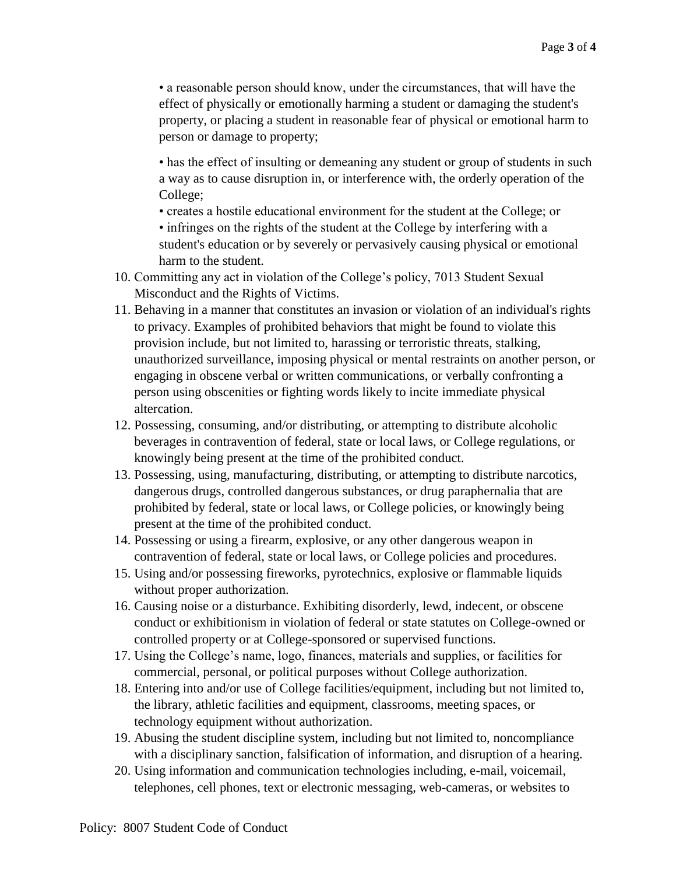• a reasonable person should know, under the circumstances, that will have the effect of physically or emotionally harming a student or damaging the student's property, or placing a student in reasonable fear of physical or emotional harm to person or damage to property;

• has the effect of insulting or demeaning any student or group of students in such a way as to cause disruption in, or interference with, the orderly operation of the College;

• creates a hostile educational environment for the student at the College; or

• infringes on the rights of the student at the College by interfering with a student's education or by severely or pervasively causing physical or emotional harm to the student.

- 10. Committing any act in violation of the College's policy, 7013 Student Sexual Misconduct and the Rights of Victims.
- 11. Behaving in a manner that constitutes an invasion or violation of an individual's rights to privacy. Examples of prohibited behaviors that might be found to violate this provision include, but not limited to, harassing or terroristic threats, stalking, unauthorized surveillance, imposing physical or mental restraints on another person, or engaging in obscene verbal or written communications, or verbally confronting a person using obscenities or fighting words likely to incite immediate physical altercation.
- 12. Possessing, consuming, and/or distributing, or attempting to distribute alcoholic beverages in contravention of federal, state or local laws, or College regulations, or knowingly being present at the time of the prohibited conduct.
- 13. Possessing, using, manufacturing, distributing, or attempting to distribute narcotics, dangerous drugs, controlled dangerous substances, or drug paraphernalia that are prohibited by federal, state or local laws, or College policies, or knowingly being present at the time of the prohibited conduct.
- 14. Possessing or using a firearm, explosive, or any other dangerous weapon in contravention of federal, state or local laws, or College policies and procedures.
- 15. Using and/or possessing fireworks, pyrotechnics, explosive or flammable liquids without proper authorization.
- 16. Causing noise or a disturbance. Exhibiting disorderly, lewd, indecent, or obscene conduct or exhibitionism in violation of federal or state statutes on College-owned or controlled property or at College-sponsored or supervised functions.
- 17. Using the College's name, logo, finances, materials and supplies, or facilities for commercial, personal, or political purposes without College authorization.
- 18. Entering into and/or use of College facilities/equipment, including but not limited to, the library, athletic facilities and equipment, classrooms, meeting spaces, or technology equipment without authorization.
- 19. Abusing the student discipline system, including but not limited to, noncompliance with a disciplinary sanction, falsification of information, and disruption of a hearing.
- 20. Using information and communication technologies including, e-mail, voicemail, telephones, cell phones, text or electronic messaging, web-cameras, or websites to